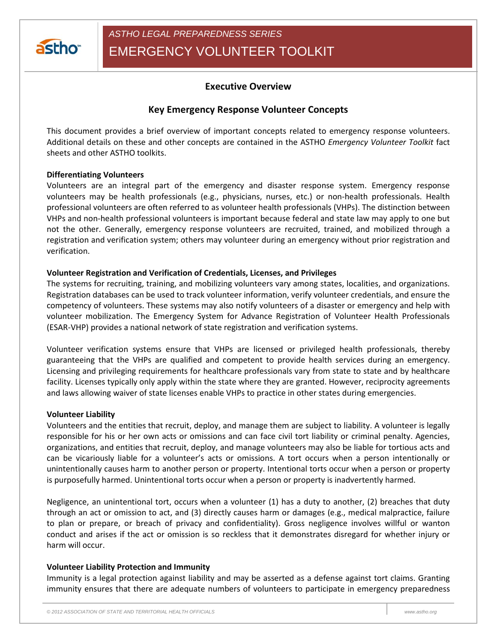

# **Executive Overview**

# **Key Emergency Response Volunteer Concepts**

This document provides a brief overview of important concepts related to emergency response volunteers. Additional details on these and other concepts are contained in the ASTHO *Emergency Volunteer Toolkit* fact sheets and other ASTHO toolkits.

#### **Differentiating Volunteers**

Volunteers are an integral part of the emergency and disaster response system. Emergency response volunteers may be health professionals (e.g., physicians, nurses, etc.) or non-health professionals. Health professional volunteers are often referred to as volunteer health professionals (VHPs). The distinction between VHPs and non-health professional volunteers is important because federal and state law may apply to one but not the other. Generally, emergency response volunteers are recruited, trained, and mobilized through a registration and verification system; others may volunteer during an emergency without prior registration and verification.

#### **Volunteer Registration and Verification of Credentials, Licenses, and Privileges**

The systems for recruiting, training, and mobilizing volunteers vary among states, localities, and organizations. Registration databases can be used to track volunteer information, verify volunteer credentials, and ensure the competency of volunteers. These systems may also notify volunteers of a disaster or emergency and help with volunteer mobilization. The Emergency System for Advance Registration of Volunteer Health Professionals (ESAR-VHP) provides a national network of state registration and verification systems.

Volunteer verification systems ensure that VHPs are licensed or privileged health professionals, thereby guaranteeing that the VHPs are qualified and competent to provide health services during an emergency. Licensing and privileging requirements for healthcare professionals vary from state to state and by healthcare facility. Licenses typically only apply within the state where they are granted. However, reciprocity agreements and laws allowing waiver of state licenses enable VHPs to practice in other states during emergencies.

#### **Volunteer Liability**

Volunteers and the entities that recruit, deploy, and manage them are subject to liability. A volunteer is legally responsible for his or her own acts or omissions and can face civil tort liability or criminal penalty. Agencies, organizations, and entities that recruit, deploy, and manage volunteers may also be liable for tortious acts and can be vicariously liable for a volunteer's acts or omissions. A tort occurs when a person intentionally or unintentionally causes harm to another person or property. Intentional torts occur when a person or property is purposefully harmed. Unintentional torts occur when a person or property is inadvertently harmed.

Negligence, an unintentional tort, occurs when a volunteer (1) has a duty to another, (2) breaches that duty through an act or omission to act, and (3) directly causes harm or damages (e.g., medical malpractice, failure to plan or prepare, or breach of privacy and confidentiality). Gross negligence involves willful or wanton conduct and arises if the act or omission is so reckless that it demonstrates disregard for whether injury or harm will occur.

## **Volunteer Liability Protection and Immunity**

Immunity is a legal protection against liability and may be asserted as a defense against tort claims. Granting immunity ensures that there are adequate numbers of volunteers to participate in emergency preparedness